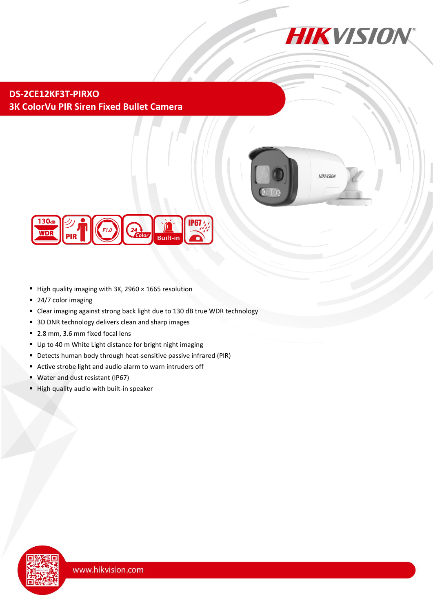

**DS-2CE12KF3T-PIRXO 3K ColorVu PIR Siren Fixed Bullet Camera**





- High quality imaging with 3K, 2960  $\times$  1665 resolution
- 24/7 color imaging
- Clear imaging against strong back light due to 130 dB true WDR technology
- 3D DNR technology delivers clean and sharp images
- 2.8 mm, 3.6 mm fixed focal lens
- Up to 40 m White Light distance for bright night imaging
- Detects human body through heat-sensitive passive infrared (PIR)
- Active strobe light and audio alarm to warn intruders off
- Water and dust resistant (IP67)
- High quality audio with built-in speaker

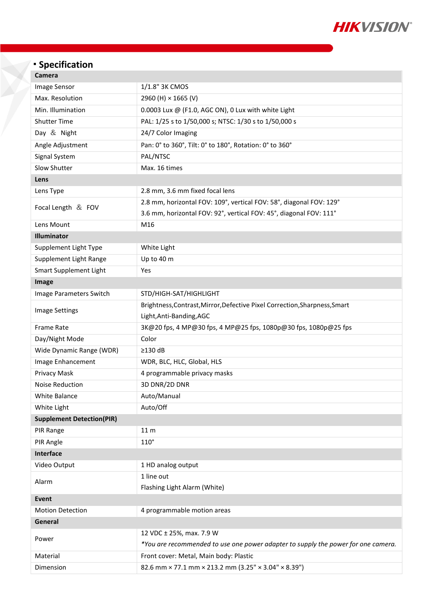

## **Specification**

| <b>Camera</b> |
|---------------|
|---------------|

| Image Sensor                     | 1/1.8" 3K CMOS                                                                    |  |
|----------------------------------|-----------------------------------------------------------------------------------|--|
| Max. Resolution                  | 2960 (H) × 1665 (V)                                                               |  |
| Min. Illumination                | 0.0003 Lux $@$ (F1.0, AGC ON), 0 Lux with white Light                             |  |
| <b>Shutter Time</b>              | PAL: 1/25 s to 1/50,000 s; NTSC: 1/30 s to 1/50,000 s                             |  |
| Day & Night                      | 24/7 Color Imaging                                                                |  |
| Angle Adjustment                 | Pan: 0° to 360°, Tilt: 0° to 180°, Rotation: 0° to 360°                           |  |
| Signal System                    | PAL/NTSC                                                                          |  |
| Slow Shutter                     | Max. 16 times                                                                     |  |
| Lens                             |                                                                                   |  |
| Lens Type                        | 2.8 mm, 3.6 mm fixed focal lens                                                   |  |
| Focal Length $&$ FOV             | 2.8 mm, horizontal FOV: 109°, vertical FOV: 58°, diagonal FOV: 129°               |  |
|                                  | 3.6 mm, horizontal FOV: 92°, vertical FOV: 45°, diagonal FOV: 111°                |  |
| Lens Mount                       | M16                                                                               |  |
| Illuminator                      |                                                                                   |  |
| Supplement Light Type            | White Light                                                                       |  |
| Supplement Light Range           | Up to 40 m                                                                        |  |
| Smart Supplement Light           | Yes                                                                               |  |
| Image                            |                                                                                   |  |
| Image Parameters Switch          | STD/HIGH-SAT/HIGHLIGHT                                                            |  |
|                                  | Brightness, Contrast, Mirror, Defective Pixel Correction, Sharpness, Smart        |  |
| <b>Image Settings</b>            | Light, Anti-Banding, AGC                                                          |  |
| <b>Frame Rate</b>                | 3K@20 fps, 4 MP@30 fps, 4 MP@25 fps, 1080p@30 fps, 1080p@25 fps                   |  |
| Day/Night Mode                   | Color                                                                             |  |
| Wide Dynamic Range (WDR)         | $\geq$ 130 dB                                                                     |  |
| Image Enhancement                | WDR, BLC, HLC, Global, HLS                                                        |  |
| Privacy Mask                     | 4 programmable privacy masks                                                      |  |
| Noise Reduction                  | 3D DNR/2D DNR                                                                     |  |
| <b>White Balance</b>             | Auto/Manual                                                                       |  |
| White Light                      | Auto/Off                                                                          |  |
| <b>Supplement Detection(PIR)</b> |                                                                                   |  |
| PIR Range                        | 11 <sub>m</sub>                                                                   |  |
| PIR Angle                        | $110^\circ$                                                                       |  |
| Interface                        |                                                                                   |  |
| Video Output                     | 1 HD analog output                                                                |  |
| Alarm                            | 1 line out                                                                        |  |
|                                  | Flashing Light Alarm (White)                                                      |  |
| Event                            |                                                                                   |  |
| <b>Motion Detection</b>          | 4 programmable motion areas                                                       |  |
| General                          |                                                                                   |  |
| Power                            | 12 VDC ± 25%, max. 7.9 W                                                          |  |
|                                  | *You are recommended to use one power adapter to supply the power for one camera. |  |
| Material                         | Front cover: Metal, Main body: Plastic                                            |  |
| Dimension                        | 82.6 mm × 77.1 mm × 213.2 mm (3.25" × 3.04" × 8.39")                              |  |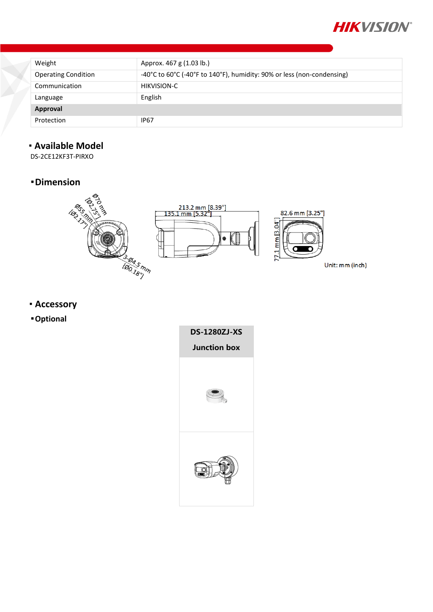

| Weight                     | Approx. 467 g (1.03 lb.)                                               |
|----------------------------|------------------------------------------------------------------------|
| <b>Operating Condition</b> | -40°C to 60°C (-40°F to 140°F), humidity: 90% or less (non-condensing) |
| Communication              | <b>HIKVISION-C</b>                                                     |
| Language                   | English                                                                |
| Approval                   |                                                                        |
| Protection                 | <b>IP67</b>                                                            |

## **Available Model**

DS-2CE12KF3T-PIRXO

## **Dimension**



- **Accessory**
- **Optional**